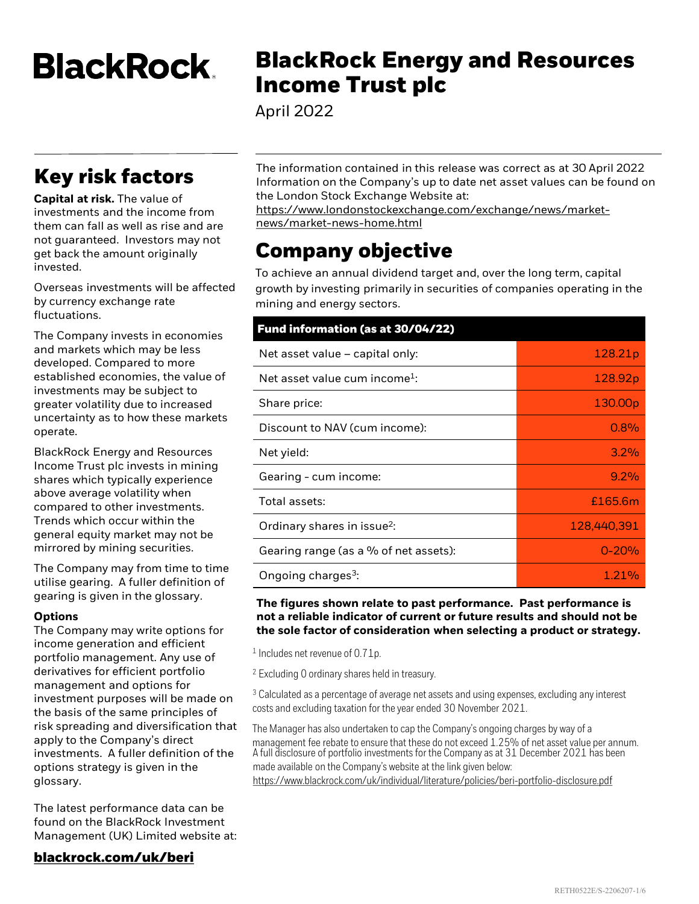**BlackRock** 

# **Key risk factors**

**Capital at risk.** The value of investments and the income from them can fall as well as rise and are not guaranteed. Investors may not get back the amount originally invested.

Overseas investments will be affected by currency exchange rate fluctuations.

The Company invests in economies and markets which may be less developed. Compared to more established economies, the value of investments may be subject to greater volatility due to increased uncertainty as to how these markets operate.

BlackRock Energy and Resources Income Trust plc invests in mining shares which typically experience above average volatility when compared to other investments. Trends which occur within the general equity market may not be mirrored by mining securities.

The Company may from time to time utilise gearing. A fuller definition of gearing is given in the glossary.

#### **Options**

The Company may write options for income generation and efficient portfolio management. Any use of derivatives for efficient portfolio management and options for investment purposes will be made on the basis of the same principles of risk spreading and diversification that apply to the Company's direct investments. A fuller definition of the options strategy is given in the glossary.

The latest performance data can be found on the BlackRock Investment Management (UK) Limited website at:

#### **[blackrock.com/uk/beri](https://www.blackrock.com/uk/individual/products/investment-trusts/our-range/blackrock-energy-and-resources-income-trust/trust-information)**

# **BlackRock Energy and Resources Income Trust plc**

April 2022

The information contained in this release was correct as at 30 April 2022 Information on the Company's up to date net asset values can be found on the London Stock Exchange Website at:

[https://www.londonstockexchange.com/exchange/news/market](https://www.londonstockexchange.com/exchange/news/market-news/market-news-home.html)news/market-news-home.html

# **Company objective**

To achieve an annual dividend target and, over the long term, capital growth by investing primarily in securities of companies operating in the mining and energy sectors.

# **Fund information (as at 30/04/22)**

| Net asset value - capital only:           | 128.21p             |
|-------------------------------------------|---------------------|
| Net asset value cum income <sup>1</sup> : | 128.92p             |
| Share price:                              | 130.00 <sub>p</sub> |
| Discount to NAV (cum income):             | 0.8%                |
| Net yield:                                | 3.2%                |
| Gearing - cum income:                     | $9.2\%$             |
| Total assets:                             | £165.6m             |
| Ordinary shares in issue <sup>2</sup> :   | 128,440,391         |
| Gearing range (as a $\%$ of net assets):  | $0 - 20%$           |
| Ongoing charges <sup>3</sup> :            | 1.21%               |

### **The figures shown relate to past performance. Past performance is not a reliable indicator of current or future results and should not be the sole factor of consideration when selecting a product or strategy.**

<sup>1</sup> Includes net revenue of 0.71p.

<sup>2</sup> Excluding 0 ordinary shares held in treasury.

<sup>3</sup> Calculated as a percentage of average net assets and using expenses, excluding any interest costs and excluding taxation for the year ended 30 November 2021.

The Manager has also undertaken to cap the Company's ongoing charges by way of a management fee rebate to ensure that these do not exceed 1.25% of net asset value per annum. A full disclosure of portfolio investments for the Company as at 31 December 2021 has been made available on the Company's website at the link given below: <https://www.blackrock.com/uk/individual/literature/policies/beri-portfolio-disclosure.pdf>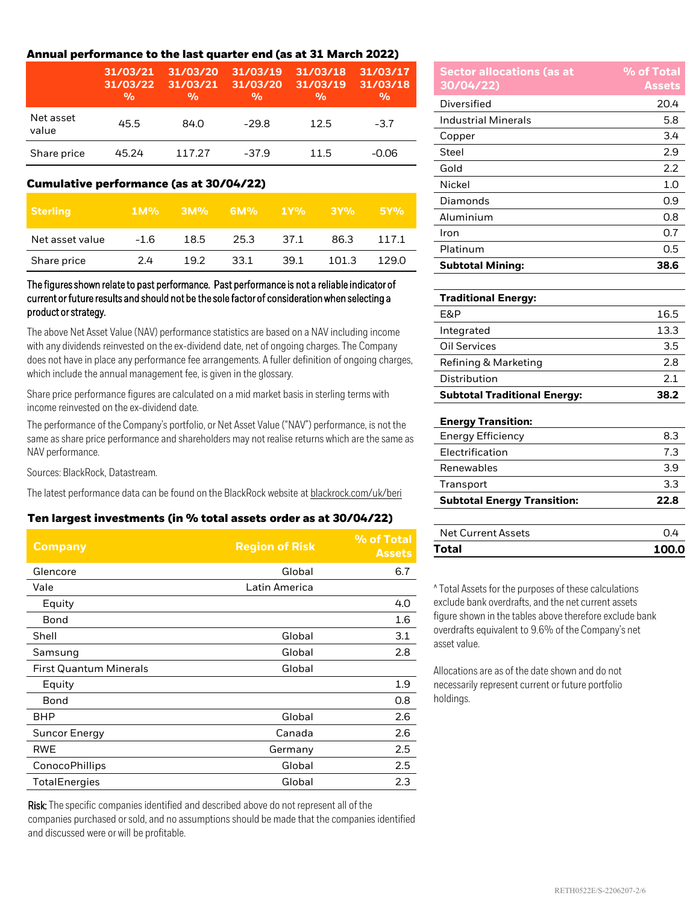# **Annual performance to the last quarter end (as at 31 March 2022)**

|                    | 31/03/21<br>31/03/22<br>$\frac{0}{0}$ | 31/03/20<br>31/03/21<br>$\frac{0}{0}$ | 31/03/19<br>31/03/20<br>$\frac{0}{0}$ | 31/03/18<br>31/03/19<br>$\frac{0}{0}$ | 31/03/17<br>31/03/18<br>$\frac{0}{0}$ |
|--------------------|---------------------------------------|---------------------------------------|---------------------------------------|---------------------------------------|---------------------------------------|
| Net asset<br>value | 45.5                                  | 84.0                                  | $-29.8$                               | 12.5                                  | $-3.7$                                |
| Share price        | 45.24                                 | 117.27                                | $-37.9$                               | 11.5                                  | $-0.06$                               |

### **Cumulative performance (as at 30/04/22)**

| <b>Sterling</b> | $1M\%$ | $3M\%$ | 6M%  | $1Y\%$ | 3Y%   | 5Y%   |
|-----------------|--------|--------|------|--------|-------|-------|
| Net asset value | $-1.6$ | 18.5   | 25.3 | 37.1   | 86.3  | 117.1 |
| Share price     | 2.4    | 19.2   | 33.1 | 39.1   | 101.3 | 129.0 |

### The figures shown relate to past performance. Past performance is not a reliable indicator of current or future results and should not be the sole factor of consideration when selecting a product or strategy.

The above Net Asset Value (NAV) performance statistics are based on a NAV including income with any dividends reinvested on the ex-dividend date, net of ongoing charges. The Company does not have in place any performance fee arrangements. A fuller definition of ongoing charges, which include the annual management fee, is given in the glossary.

Share price performance figures are calculated on a mid market basis in sterling terms with income reinvested on the ex-dividend date.

The performance of the Company's portfolio, or Net Asset Value ("NAV") performance, is not the same as share price performance and shareholders may not realise returns which are the same as NAV performance.

Sources: BlackRock, Datastream.

The latest performance data can be found on the BlackRock website at [blackrock.com/uk/beri](https://www.blackrock.com/uk/individual/products/investment-trusts/our-range/blackrock-energy-and-resources-income-trust/trust-information)

# **Ten largest investments (in % total assets order as at 30/04/22)**

| <b>Company</b>                | <b>Region of Risk</b> | % of Total<br><b>Assets</b> |
|-------------------------------|-----------------------|-----------------------------|
| Glencore                      | Global                | 6.7                         |
| Vale                          | Latin America         |                             |
| Equity                        |                       | 4.0                         |
| Bond                          |                       | 1.6                         |
| Shell                         | Global                | 3.1                         |
| Samsung                       | Global                | 2.8                         |
| <b>First Quantum Minerals</b> | Global                |                             |
| Equity                        |                       | 1.9                         |
| Bond                          |                       | 0.8                         |
| BHP                           | Global                | 2.6                         |
| <b>Suncor Energy</b>          | Canada                | 2.6                         |
| <b>RWE</b>                    | Germany               | 2.5                         |
| ConocoPhillips                | Global                | 2.5                         |
| <b>TotalEnergies</b>          | Global                | 2.3                         |

Risk: The specific companies identified and described above do not represent all of the companies purchased or sold, and no assumptions should be made that the companies identified and discussed were or will be profitable.

| <b>Sector allocations (as at</b><br>30/04/22) | % of Total<br><b>Assets</b> |
|-----------------------------------------------|-----------------------------|
| Diversified                                   | 20.4                        |
| <b>Industrial Minerals</b>                    | 5.8                         |
| Copper                                        | 3.4                         |
| Steel                                         | 2.9                         |
| Gold                                          | 2.2                         |
| Nickel                                        | 1.0                         |
| Diamonds                                      | 0.9                         |
| Aluminium                                     | 0.8                         |
| Iron                                          | 0.7                         |
| Platinum                                      | 0.5                         |
| <b>Subtotal Mining:</b>                       | 38.6                        |

# **Traditional Energy:**  $E\&P$  16.5 Integrated 13.3 Oil Services 3.5 Refining & Marketing 2.8 Distribution 2.1 **Subtotal Traditional Energy: 38.2 Energy Transition:** Energy Efficiency 8.3

| <b>Subtotal Energy Transition:</b> | 22.8 |
|------------------------------------|------|
| Transport                          | 3.3  |
| Renewables                         | 39   |
| Electrification                    |      |

| Total              | 100.0 |
|--------------------|-------|
| Net Current Assets |       |

^ Total Assets for the purposes of these calculations exclude bank overdrafts, and the net current assets figure shown in the tables above therefore exclude bank overdrafts equivalent to 9.6% of the Company's net asset value.

Allocations are as of the date shown and do not necessarily represent current or future portfolio holdings.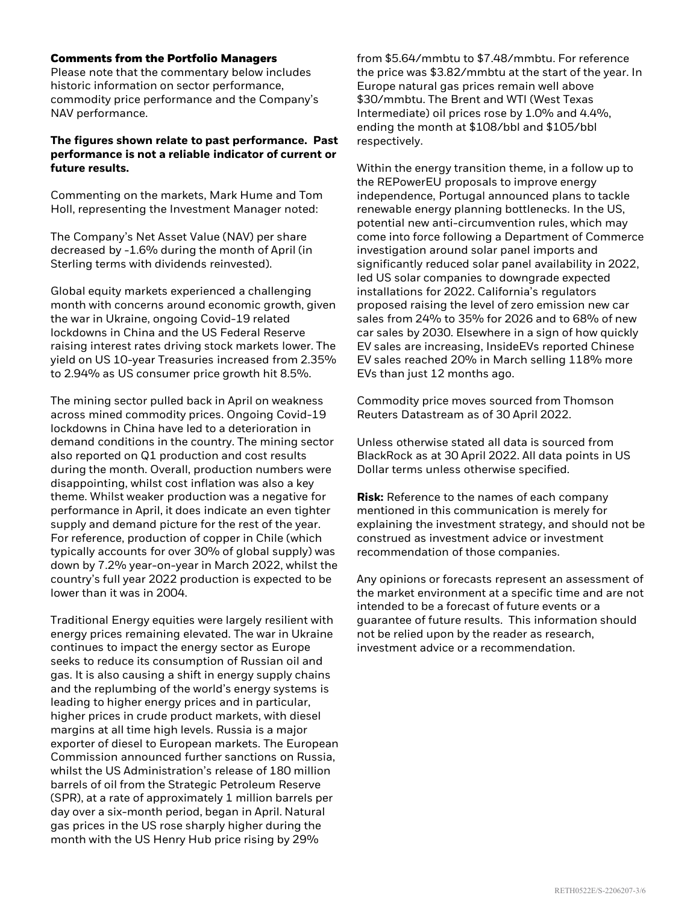#### **Comments from the Portfolio Managers**

Please note that the commentary below includes historic information on sector performance, commodity price performance and the Company's NAV performance.

### **The figures shown relate to past performance. Past performance is not a reliable indicator of current or future results.**

Commenting on the markets, Mark Hume and Tom Holl, representing the Investment Manager noted:

The Company's Net Asset Value (NAV) per share decreased by -1.6% during the month of April (in Sterling terms with dividends reinvested).

Global equity markets experienced a challenging month with concerns around economic growth, given the war in Ukraine, ongoing Covid-19 related lockdowns in China and the US Federal Reserve raising interest rates driving stock markets lower. The yield on US 10-year Treasuries increased from 2.35% to 2.94% as US consumer price growth hit 8.5%.

The mining sector pulled back in April on weakness across mined commodity prices. Ongoing Covid-19 lockdowns in China have led to a deterioration in demand conditions in the country. The mining sector also reported on Q1 production and cost results during the month. Overall, production numbers were disappointing, whilst cost inflation was also a key theme. Whilst weaker production was a negative for performance in April, it does indicate an even tighter supply and demand picture for the rest of the year. For reference, production of copper in Chile (which typically accounts for over 30% of global supply) was down by 7.2% year-on-year in March 2022, whilst the country's full year 2022 production is expected to be lower than it was in 2004.

Traditional Energy equities were largely resilient with energy prices remaining elevated. The war in Ukraine continues to impact the energy sector as Europe seeks to reduce its consumption of Russian oil and gas. It is also causing a shift in energy supply chains and the replumbing of the world's energy systems is leading to higher energy prices and in particular, higher prices in crude product markets, with diesel margins at all time high levels. Russia is a major exporter of diesel to European markets. The European Commission announced further sanctions on Russia, whilst the US Administration's release of 180 million barrels of oil from the Strategic Petroleum Reserve (SPR), at a rate of approximately 1 million barrels per day over a six-month period, began in April. Natural gas prices in the US rose sharply higher during the month with the US Henry Hub price rising by 29%

from \$5.64/mmbtu to \$7.48/mmbtu. For reference the price was \$3.82/mmbtu at the start of the year. In Europe natural gas prices remain well above \$30/mmbtu. The Brent and WTI (West Texas Intermediate) oil prices rose by 1.0% and 4.4%, ending the month at \$108/bbl and \$105/bbl respectively.

Within the energy transition theme, in a follow up to the REPowerEU proposals to improve energy independence, Portugal announced plans to tackle renewable energy planning bottlenecks. In the US, potential new anti-circumvention rules, which may come into force following a Department of Commerce investigation around solar panel imports and significantly reduced solar panel availability in 2022, led US solar companies to downgrade expected installations for 2022. California's regulators proposed raising the level of zero emission new car sales from 24% to 35% for 2026 and to 68% of new car sales by 2030. Elsewhere in a sign of how quickly EV sales are increasing, InsideEVs reported Chinese EV sales reached 20% in March selling 118% more EVs than just 12 months ago.

Commodity price moves sourced from Thomson Reuters Datastream as of 30 April 2022.

Unless otherwise stated all data is sourced from BlackRock as at 30 April 2022. All data points in US Dollar terms unless otherwise specified.

**Risk:** Reference to the names of each company mentioned in this communication is merely for explaining the investment strategy, and should not be construed as investment advice or investment recommendation of those companies.

Any opinions or forecasts represent an assessment of the market environment at a specific time and are not intended to be a forecast of future events or a guarantee of future results. This information should not be relied upon by the reader as research, investment advice or a recommendation.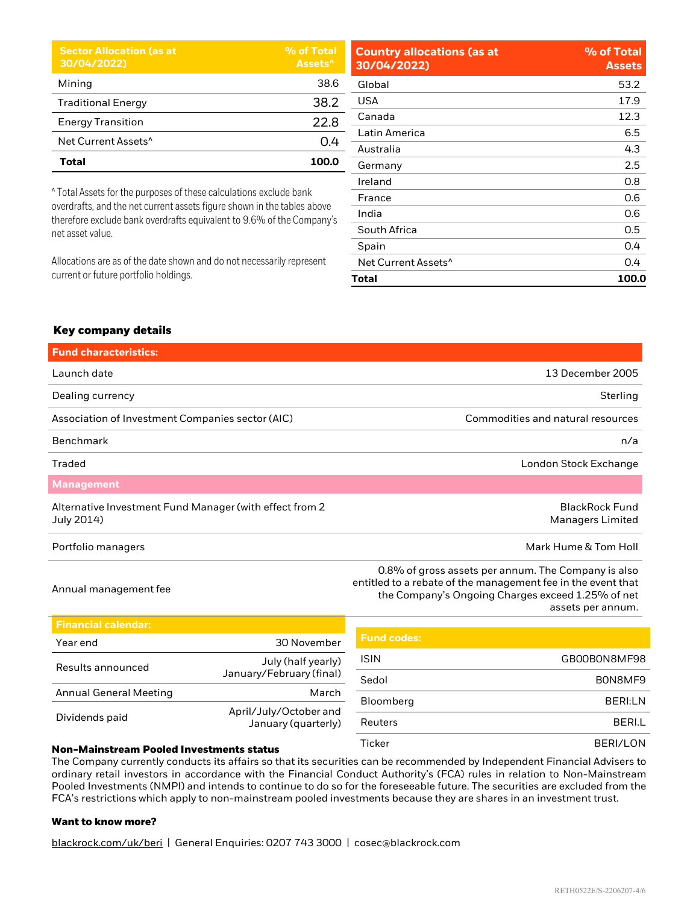| <b>Sector Allocation (as at</b><br>30/04/2022) | % of Total<br>Assets <sup>^</sup> |
|------------------------------------------------|-----------------------------------|
| Mining                                         | 38.6                              |
| <b>Traditional Energy</b>                      | 38.2                              |
| <b>Energy Transition</b>                       | 22.8                              |
| Net Current Assets <sup>^</sup>                | 0.4                               |
| Total                                          | 100.0                             |

^ Total Assets for the purposes of these calculations exclude bank overdrafts, and the net current assets figure shown in the tables above therefore exclude bank overdrafts equivalent to 9.6% of the Company's net asset value.

Allocations are as of the date shown and do not necessarily represent current or future portfolio holdings.

| <b>Country allocations (as at</b><br>30/04/2022) | % of Total<br><b>Assets</b> |
|--------------------------------------------------|-----------------------------|
| Global                                           | 53.2                        |
| USA                                              | 17.9                        |
| Canada                                           | 12.3                        |
| Latin America                                    | 6.5                         |
| Australia                                        | 4.3                         |
| Germany                                          | 2.5                         |
| Ireland                                          | 0.8                         |
| France                                           | 0.6                         |
| India                                            | 0.6                         |
| South Africa                                     | 0.5                         |
| Spain                                            | 0.4                         |
| Net Current Assets <sup>^</sup>                  | 0.4                         |
| Total                                            | 100.0                       |

## **Key company details**

| <b>Fund characteristics:</b>                                          |                                                                                                                                                                                               |
|-----------------------------------------------------------------------|-----------------------------------------------------------------------------------------------------------------------------------------------------------------------------------------------|
| Launch date                                                           | 13 December 2005                                                                                                                                                                              |
| Dealing currency                                                      | Sterling                                                                                                                                                                                      |
| Association of Investment Companies sector (AIC)                      | Commodities and natural resources                                                                                                                                                             |
| <b>Benchmark</b>                                                      | n/a                                                                                                                                                                                           |
| Traded                                                                | London Stock Exchange                                                                                                                                                                         |
| <b>Management</b>                                                     |                                                                                                                                                                                               |
| Alternative Investment Fund Manager (with effect from 2<br>July 2014) | <b>BlackRock Fund</b><br><b>Managers Limited</b>                                                                                                                                              |
| Portfolio managers                                                    | Mark Hume & Tom Holl                                                                                                                                                                          |
| Annual management fee                                                 | 0.8% of gross assets per annum. The Company is also<br>entitled to a rebate of the management fee in the event that<br>the Company's Ongoing Charges exceed 1.25% of net<br>assets per annum. |

| <b>Financial calendar:</b>                                           |                                               |                    |                |
|----------------------------------------------------------------------|-----------------------------------------------|--------------------|----------------|
| Year end                                                             | 30 November                                   | <b>Fund codes:</b> |                |
| Results announced                                                    | July (half yearly)                            | <b>ISIN</b>        | GB00B0N8MF98   |
|                                                                      | January/February (final)                      | Sedol              | BON8MF9        |
| <b>Annual General Meeting</b>                                        | March                                         | Bloomberg          | <b>BERI:LN</b> |
| Dividends paid                                                       | April/July/October and<br>January (quarterly) | Reuters            | <b>BERI.L</b>  |
| All a contract and a contract of the contract of the contract of the |                                               | Ticker             | BERI/LON       |

#### **Non-Mainstream Pooled Investments status**

The Company currently conducts its affairs so that its securities can be recommended by Independent Financial Advisers to ordinary retail investors in accordance with the Financial Conduct Authority's (FCA) rules in relation to Non-Mainstream Pooled Investments (NMPI) and intends to continue to do so for the foreseeable future. The securities are excluded from the FCA's restrictions which apply to non-mainstream pooled investments because they are shares in an investment trust.

#### **Want to know more?**

blackrock.com/uk/beri | General Enquiries: 0207 743 3000 | cosec@blackrock.com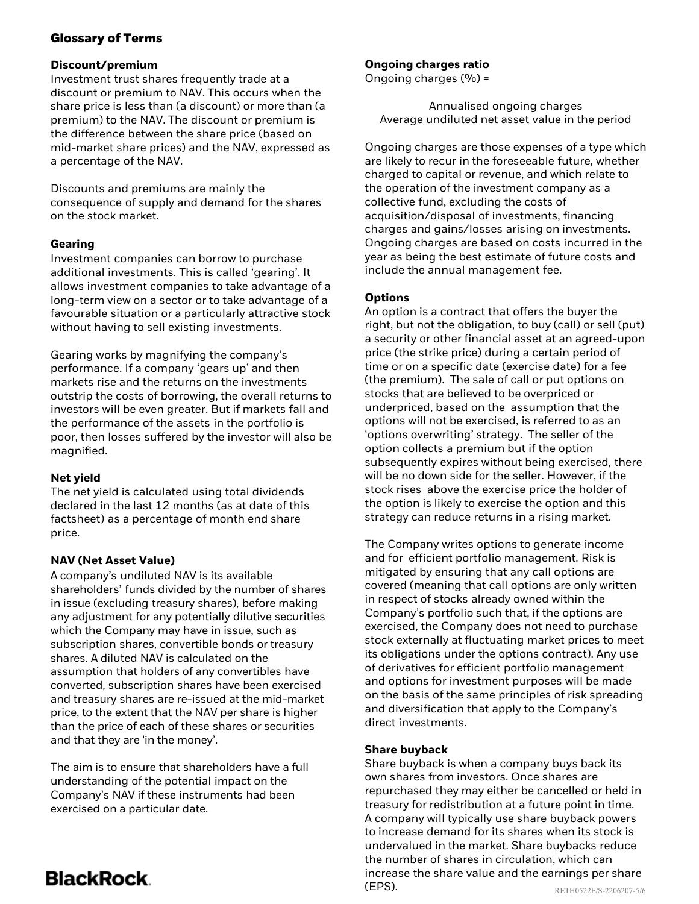# **Glossary of Terms**

# **Discount/premium**

Investment trust shares frequently trade at a discount or premium to NAV. This occurs when the share price is less than (a discount) or more than (a premium) to the NAV. The discount or premium is the difference between the share price (based on mid-market share prices) and the NAV, expressed as a percentage of the NAV.

Discounts and premiums are mainly the consequence of supply and demand for the shares on the stock market.

# **Gearing**

Investment companies can borrow to purchase additional investments. This is called 'gearing'. It allows investment companies to take advantage of a long-term view on a sector or to take advantage of a favourable situation or a particularly attractive stock without having to sell existing investments.

Gearing works by magnifying the company's performance. If a company 'gears up' and then markets rise and the returns on the investments outstrip the costs of borrowing, the overall returns to investors will be even greater. But if markets fall and the performance of the assets in the portfolio is poor, then losses suffered by the investor will also be magnified.

# **Net yield**

The net yield is calculated using total dividends declared in the last 12 months (as at date of this factsheet) as a percentage of month end share price.

# **NAV (Net Asset Value)**

A company's undiluted NAV is its available shareholders' funds divided by the number of shares in issue (excluding treasury shares), before making any adjustment for any potentially dilutive securities which the Company may have in issue, such as subscription shares, convertible bonds or treasury shares. A diluted NAV is calculated on the assumption that holders of any convertibles have converted, subscription shares have been exercised and treasury shares are re-issued at the mid-market price, to the extent that the NAV per share is higher than the price of each of these shares or securities and that they are 'in the money'.

The aim is to ensure that shareholders have a full understanding of the potential impact on the Company's NAV if these instruments had been exercised on a particular date.

# **Ongoing charges ratio**

Ongoing charges  $(% = 0)$ 

Annualised ongoing charges Average undiluted net asset value in the period

Ongoing charges are those expenses of a type which are likely to recur in the foreseeable future, whether charged to capital or revenue, and which relate to the operation of the investment company as a collective fund, excluding the costs of acquisition/disposal of investments, financing charges and gains/losses arising on investments. Ongoing charges are based on costs incurred in the year as being the best estimate of future costs and include the annual management fee.

# **Options**

An option is a contract that offers the buyer the right, but not the obligation, to buy (call) or sell (put) a security or other financial asset at an agreed-upon price (the strike price) during a certain period of time or on a specific date (exercise date) for a fee (the premium). The sale of call or put options on stocks that are believed to be overpriced or underpriced, based on the assumption that the options will not be exercised, is referred to as an 'options overwriting' strategy. The seller of the option collects a premium but if the option subsequently expires without being exercised, there will be no down side for the seller. However, if the stock rises above the exercise price the holder of the option is likely to exercise the option and this strategy can reduce returns in a rising market.

The Company writes options to generate income and for efficient portfolio management. Risk is mitigated by ensuring that any call options are covered (meaning that call options are only written in respect of stocks already owned within the Company's portfolio such that, if the options are exercised, the Company does not need to purchase stock externally at fluctuating market prices to meet its obligations under the options contract). Any use of derivatives for efficient portfolio management and options for investment purposes will be made on the basis of the same principles of risk spreading and diversification that apply to the Company's direct investments.

# **Share buyback**

Share buyback is when a company buys back its own shares from investors. Once shares are repurchased they may either be cancelled or held in treasury for redistribution at a future point in time. A company will typically use share buyback powers to increase demand for its shares when its stock is undervalued in the market. Share buybacks reduce the number of shares in circulation, which can increase the share value and the earnings per share (EPS). RETH0522E/S-2206207-5/6